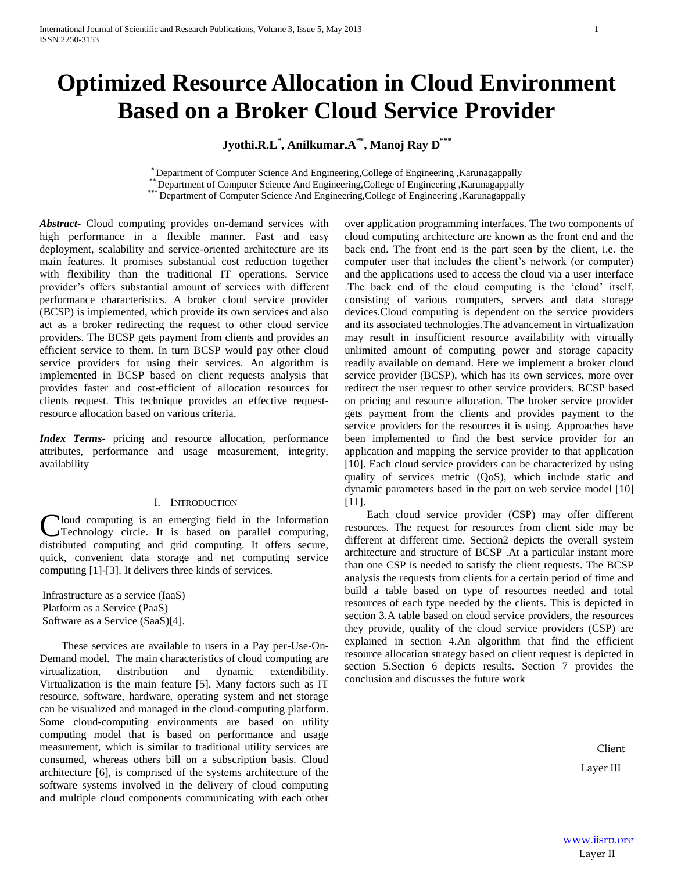# **Optimized Resource Allocation in Cloud Environment Based on a Broker Cloud Service Provider**

**Jyothi.R.L\* , Anilkumar.A\*\* , Manoj Ray D\*\*\***

\* Department of Computer Science And Engineering,College of Engineering ,Karunagappally

\*\* Department of Computer Science And Engineering,College of Engineering ,Karunagappally \*\*\* Department of Computer Science And Engineering,College of Engineering ,Karunagappally

*Abstract***-** Cloud computing provides on-demand services with high performance in a flexible manner. Fast and easy deployment, scalability and service-oriented architecture are its main features. It promises substantial cost reduction together with flexibility than the traditional IT operations. Service provider's offers substantial amount of services with different performance characteristics. A broker cloud service provider (BCSP) is implemented, which provide its own services and also act as a broker redirecting the request to other cloud service providers. The BCSP gets payment from clients and provides an efficient service to them. In turn BCSP would pay other cloud service providers for using their services. An algorithm is implemented in BCSP based on client requests analysis that provides faster and cost-efficient of allocation resources for clients request. This technique provides an effective requestresource allocation based on various criteria.

*Index Terms*- pricing and resource allocation, performance attributes, performance and usage measurement, integrity, availability

# I. INTRODUCTION

Cloud computing is an emerging field in the Information<br>
Technology circle. It is based on parallel computing, Technology circle. It is based on parallel computing, distributed computing and grid computing. It offers secure, quick, convenient data storage and net computing service computing [1]-[3]. It delivers three kinds of services.

Infrastructure as a service (IaaS) Platform as a Service (PaaS) Software as a Service (SaaS)[4].

 These services are available to users in a Pay per-Use-On-Demand model. The main characteristics of cloud computing are virtualization, distribution and dynamic extendibility. Virtualization is the main feature [5]. Many factors such as IT resource, software, hardware, operating system and net storage can be visualized and managed in the cloud-computing platform. Some cloud-computing environments are based on utility computing model that is based on performance and usage measurement, which is similar to traditional utility services are consumed, whereas others bill on a subscription basis. Cloud architecture [6], is comprised of the systems architecture of the software systems involved in the delivery of cloud computing and multiple cloud components communicating with each other

over application programming interfaces. The two components of cloud computing architecture are known as the front end and the back end. The front end is the part seen by the client, i.e. the computer user that includes the client's network (or computer) and the applications used to access the cloud via a user interface .The back end of the cloud computing is the 'cloud' itself, consisting of various computers, servers and data storage devices.Cloud computing is dependent on the service providers and its associated technologies.The advancement in virtualization may result in insufficient resource availability with virtually unlimited amount of computing power and storage capacity readily available on demand. Here we implement a broker cloud service provider (BCSP), which has its own services, more over redirect the user request to other service providers. BCSP based on pricing and resource allocation. The broker service provider gets payment from the clients and provides payment to the service providers for the resources it is using. Approaches have been implemented to find the best service provider for an application and mapping the service provider to that application [10]. Each cloud service providers can be characterized by using quality of services metric (QoS), which include static and dynamic parameters based in the part on web service model [10] [11].

 Each cloud service provider (CSP) may offer different resources. The request for resources from client side may be different at different time. Section2 depicts the overall system architecture and structure of BCSP .At a particular instant more than one CSP is needed to satisfy the client requests. The BCSP analysis the requests from clients for a certain period of time and build a table based on type of resources needed and total resources of each type needed by the clients. This is depicted in section 3.A table based on cloud service providers, the resources they provide, quality of the cloud service providers (CSP) are explained in section 4.An algorithm that find the efficient resource allocation strategy based on client request is depicted in section 5.Section 6 depicts results. Section 7 provides the conclusion and discusses the future work

> Client Layer III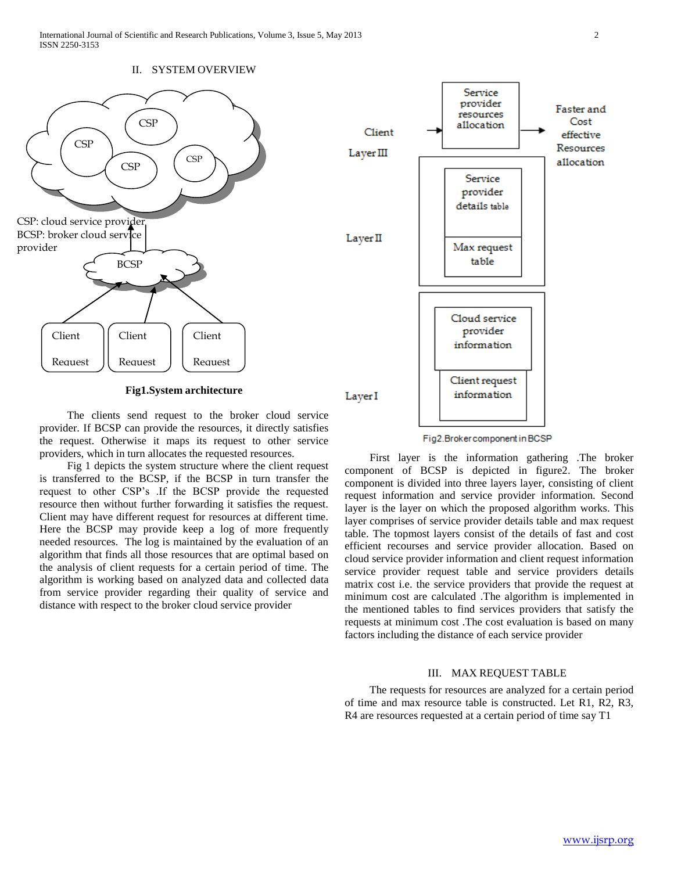

**Fig1.System architecture**

 The clients send request to the broker cloud service provider. If BCSP can provide the resources, it directly satisfies the request. Otherwise it maps its request to other service providers, which in turn allocates the requested resources.

 Fig 1 depicts the system structure where the client request is transferred to the BCSP, if the BCSP in turn transfer the request to other CSP's .If the BCSP provide the requested resource then without further forwarding it satisfies the request. Client may have different request for resources at different time. Here the BCSP may provide keep a log of more frequently needed resources. The log is maintained by the evaluation of an algorithm that finds all those resources that are optimal based on the analysis of client requests for a certain period of time. The algorithm is working based on analyzed data and collected data from service provider regarding their quality of service and distance with respect to the broker cloud service provider



Fig2.Brokercomponent in BCSP

 First layer is the information gathering .The broker component of BCSP is depicted in figure2. The broker component is divided into three layers layer, consisting of client request information and service provider information. Second layer is the layer on which the proposed algorithm works. This layer comprises of service provider details table and max request table. The topmost layers consist of the details of fast and cost efficient recourses and service provider allocation. Based on cloud service provider information and client request information service provider request table and service providers details matrix cost i.e. the service providers that provide the request at minimum cost are calculated .The algorithm is implemented in the mentioned tables to find services providers that satisfy the requests at minimum cost .The cost evaluation is based on many factors including the distance of each service provider

## III. MAX REQUEST TABLE

 The requests for resources are analyzed for a certain period of time and max resource table is constructed. Let R1, R2, R3, R4 are resources requested at a certain period of time say T1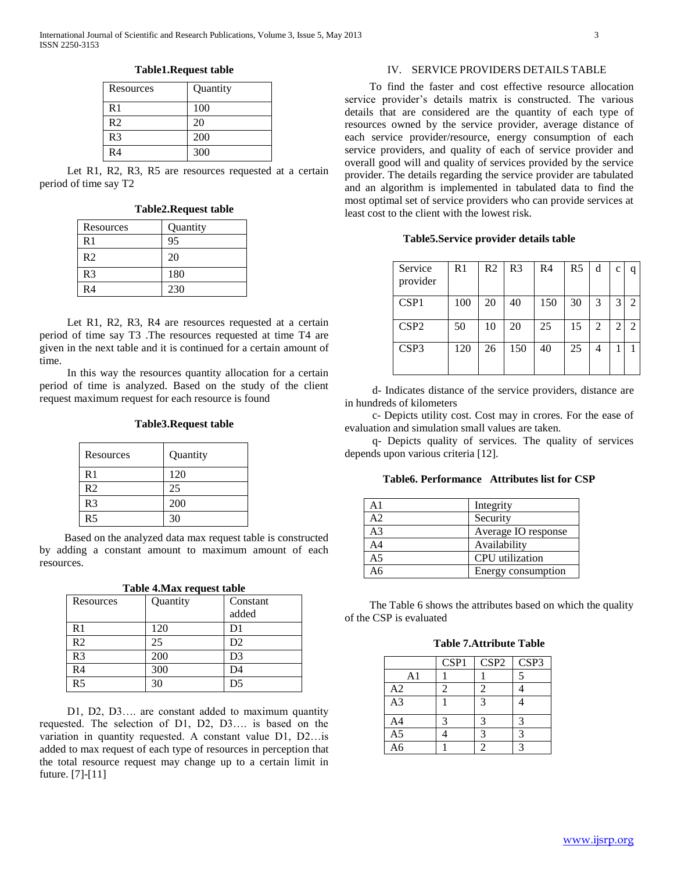| Resources      | Quantity |
|----------------|----------|
| R <sub>1</sub> | 100      |
| R <sub>2</sub> | 20       |
| R <sub>3</sub> | 200      |
| R <sub>4</sub> | 300      |

**Table1.Request table**

Let R1, R2, R3, R5 are resources requested at a certain period of time say T2

| Resources      | Quantity |
|----------------|----------|
| R <sub>1</sub> | 95       |
| R <sub>2</sub> | 20       |
| R <sub>3</sub> | 180      |
| R4             | 230      |

Let R1, R2, R3, R4 are resources requested at a certain period of time say T3 .The resources requested at time T4 are given in the next table and it is continued for a certain amount of time.

 In this way the resources quantity allocation for a certain period of time is analyzed. Based on the study of the client request maximum request for each resource is found

## **Table3.Request table**

| Resources      | Quantity |
|----------------|----------|
| R <sub>1</sub> | 120      |
| R <sub>2</sub> | 25       |
| R <sub>3</sub> | 200      |
| R5             | 30       |

 Based on the analyzed data max request table is constructed by adding a constant amount to maximum amount of each resources.

**Table 4.Max request table**

| Resources      | Quantity | Constant       |
|----------------|----------|----------------|
|                |          | added          |
| R <sub>1</sub> | 120      | D1             |
| R <sub>2</sub> | 25       | D2             |
| R <sub>3</sub> | 200      | D <sub>3</sub> |
| R <sub>4</sub> | 300      | D4             |
| R <sub>5</sub> | 30       | D5             |

 D1, D2, D3…. are constant added to maximum quantity requested. The selection of D1, D2, D3…. is based on the variation in quantity requested. A constant value D1, D2…is added to max request of each type of resources in perception that the total resource request may change up to a certain limit in future. [7]-[11]

## IV. SERVICE PROVIDERS DETAILS TABLE

 To find the faster and cost effective resource allocation service provider's details matrix is constructed. The various details that are considered are the quantity of each type of resources owned by the service provider, average distance of each service provider/resource, energy consumption of each service providers, and quality of each of service provider and overall good will and quality of services provided by the service provider. The details regarding the service provider are tabulated and an algorithm is implemented in tabulated data to find the most optimal set of service providers who can provide services at least cost to the client with the lowest risk.

**Table5.Service provider details table**

| Service<br>provider | R1  | R <sub>2</sub> | R <sub>3</sub> | R4  | R5 | d | $\mathbf c$    | q                           |
|---------------------|-----|----------------|----------------|-----|----|---|----------------|-----------------------------|
| CSP <sub>1</sub>    | 100 | 20             | 40             | 150 | 30 | 3 | 3              | $\mathcal{D}_{\mathcal{L}}$ |
| CSP <sub>2</sub>    | 50  | 10             | 20             | 25  | 15 | 2 | $\overline{2}$ | $\mathcal{D}_{\mathcal{L}}$ |
| CSP3                | 120 | 26             | 150            | 40  | 25 | 4 |                |                             |

 d- Indicates distance of the service providers, distance are in hundreds of kilometers

 c- Depicts utility cost. Cost may in crores. For the ease of evaluation and simulation small values are taken.

 q- Depicts quality of services. The quality of services depends upon various criteria [12].

**Table6. Performance Attributes list for CSP**

| А1 | Integrity           |
|----|---------------------|
| A2 | Security            |
| A3 | Average IO response |
| A4 | Availability        |
| A5 | CPU utilization     |
| 46 | Energy consumption  |

 The Table 6 shows the attributes based on which the quality of the CSP is evaluated

**Table 7.Attribute Table**

|                | CSP1 | CSP <sub>2</sub> | CSP3                 |
|----------------|------|------------------|----------------------|
| A1             |      |                  | 5                    |
| A2             |      |                  |                      |
| A <sub>3</sub> |      | $\mathbf 3$      |                      |
| A <sub>4</sub> | 3    |                  | 3                    |
| A <sub>5</sub> |      |                  | $\cdot$ <sup>2</sup> |
| A6             |      |                  | 2                    |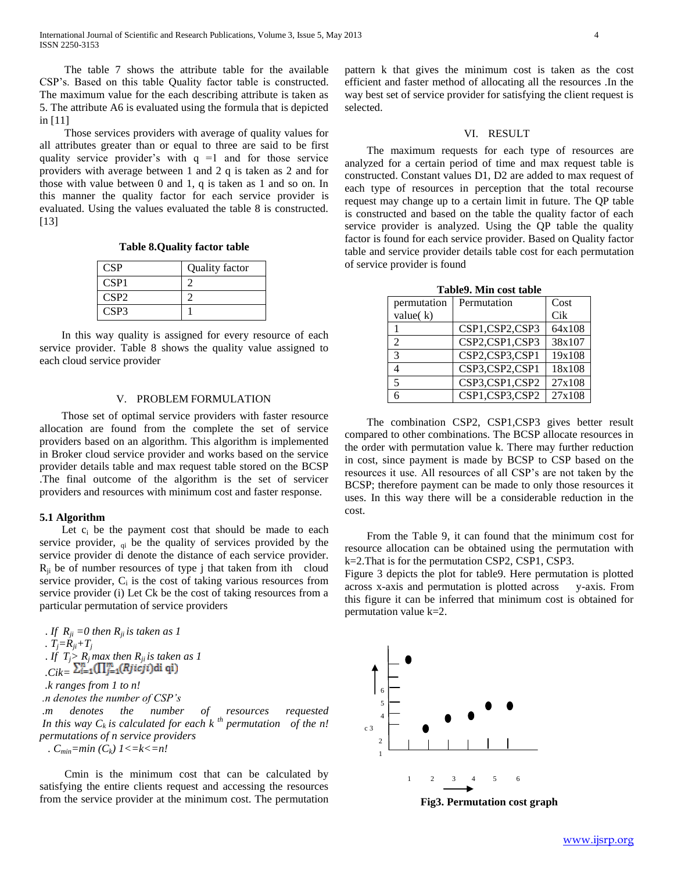The table 7 shows the attribute table for the available CSP's. Based on this table Quality factor table is constructed. The maximum value for the each describing attribute is taken as 5. The attribute A6 is evaluated using the formula that is depicted in [11]

 Those services providers with average of quality values for all attributes greater than or equal to three are said to be first quality service provider's with  $q =1$  and for those service providers with average between 1 and 2 q is taken as 2 and for those with value between 0 and 1, q is taken as 1 and so on. In this manner the quality factor for each service provider is evaluated. Using the values evaluated the table 8 is constructed. [13]

**Table 8.Quality factor table**

| <b>CSP</b>       | Quality factor |
|------------------|----------------|
| CSP1             |                |
| CSP <sub>2</sub> |                |
| CSP3             |                |

 In this way quality is assigned for every resource of each service provider. Table 8 shows the quality value assigned to each cloud service provider

# V. PROBLEM FORMULATION

 Those set of optimal service providers with faster resource allocation are found from the complete the set of service providers based on an algorithm. This algorithm is implemented in Broker cloud service provider and works based on the service provider details table and max request table stored on the BCSP .The final outcome of the algorithm is the set of servicer providers and resources with minimum cost and faster response.

### **5.1 Algorithm**

Let  $c_i$  be the payment cost that should be made to each service provider,  $q_i$  be the quality of services provided by the service provider di denote the distance of each service provider.  $R_{ii}$  be of number resources of type j that taken from ith cloud service provider,  $C_i$  is the cost of taking various resources from service provider (i) Let Ck be the cost of taking resources from a particular permutation of service providers

. If  $R_{ji} = 0$  then  $R_{ji}$  *is taken as 1 .*  $T_i = R_{ii} + T_i$ . *If*  $T_j > R_j$  *max then*  $R_{ji}$  *is taken as 1*  $\sum_{i=1}^n \prod_{j=1}^m (Rjicji)$ di qi)  *.k ranges from 1 to n! .n denotes the number of CSP's .m denotes the number of resources requested* In this way  $C_k$  is calculated for each  $k^{th}$  permutation of the n! *permutations of n service providers*

 *. Cmin=min (Ck) 1<=k<=n!*

 Cmin is the minimum cost that can be calculated by satisfying the entire clients request and accessing the resources from the service provider at the minimum cost. The permutation pattern k that gives the minimum cost is taken as the cost efficient and faster method of allocating all the resources .In the way best set of service provider for satisfying the client request is selected.

### VI. RESULT

The maximum requests for each type of resources are analyzed for a certain period of time and max request table is constructed. Constant values D1, D2 are added to max request of each type of resources in perception that the total recourse request may change up to a certain limit in future. The QP table is constructed and based on the table the quality factor of each service provider is analyzed. Using the QP table the quality factor is found for each service provider. Based on Quality factor table and service provider details table cost for each permutation of service provider is found

| permutation   | Permutation    | Cost   |
|---------------|----------------|--------|
| value $(k)$   |                | Cik    |
|               | CSP1,CSP2,CSP3 | 64x108 |
| $\mathcal{L}$ | CSP2,CSP1,CSP3 | 38x107 |
| 3             | CSP2,CSP3,CSP1 | 19x108 |
|               | CSP3,CSP2,CSP1 | 18x108 |
| 5             | CSP3,CSP1,CSP2 | 27x108 |
|               | CSP1,CSP3,CSP2 | 27x108 |

**Table9. Min cost table**

The combination CSP2, CSP1, CSP3 gives better result compared to other combinations. The BCSP allocate resources in the order with permutation value k. There may further reduction in cost, since payment is made by BCSP to CSP based on the resources it use. All resources of all CSP's are not taken by the BCSP; therefore payment can be made to only those resources it uses. In this way there will be a considerable reduction in the cost.

From the Table 9, it can found that the minimum cost for resource allocation can be obtained using the permutation with k=2.That is for the permutation CSP2, CSP1, CSP3.

Figure 3 depicts the plot for table9. Here permutation is plotted across x-axis and permutation is plotted across y-axis. From this figure it can be inferred that minimum cost is obtained for permutation value k=2.



**Fig3. Permutation cost graph**